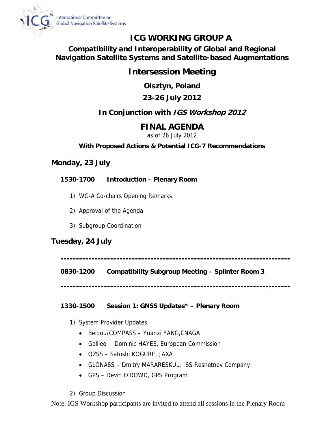

# **ICG WORKING GROUP A**

**Compatibility and Interoperability of Global and Regional Navigation Satellite Systems and Satellite-based Augmentations** 

# **Intersession Meeting**

**Olsztyn, Poland** 

# **23-26 July 2012**

# **In Conjunction with IGS Workshop 2012**

# **FINAL AGENDA**

as of 26 July 2012

# **With Proposed Actions & Potential ICG-7 Recommendations**

# **Monday, 23 July**

**1530-1700 Introduction – Plenary Room** 

- 1) WG-A Co-chairs Opening Remarks
- 2) Approval of the Agenda
- 3) Subgroup Coordination

# **Tuesday, 24 July**

**--------------------------------------------------------------------------** 

**0830-1200 Compatibility Subgroup Meeting – Splinter Room 3** 

**--------------------------------------------------------------------------** 

## **1330-1500 Session 1: GNSS Updates\* – Plenary Room**

- 1) System Provider Updates
	- Beidou/COMPASS Yuanxi YANG, CNAGA
	- Galileo Dominic HAYES, European Commission
	- QZSS Satoshi KOGURE, JAXA
	- GLONASS Dmitry MARARESKUL, ISS Reshetnev Company
	- GPS Devin O'DOWD, GPS Program
- 2) Group Discussion

Note: IGS Workshop participants are invited to attend all sessions in the Plenary Room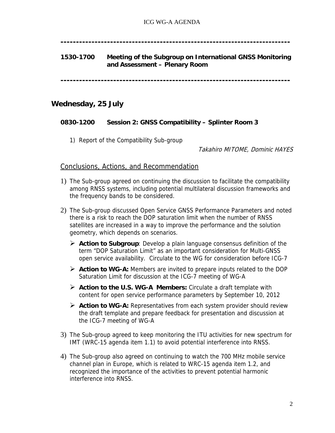**--------------------------------------------------------------------------** 

### **1530-1700 Meeting of the Subgroup on International GNSS Monitoring and Assessment – Plenary Room**

**--------------------------------------------------------------------------** 

## **Wednesday, 25 July**

### **0830-1200 Session 2: GNSS Compatibility – Splinter Room 3**

1) Report of the Compatibility Sub-group

Takahiro MITOME, Dominic HAYES

### Conclusions, Actions, and Recommendation

- 1) The Sub-group agreed on continuing the discussion to facilitate the compatibility among RNSS systems, including potential multilateral discussion frameworks and the frequency bands to be considered.
- 2) The Sub-group discussed Open Service GNSS Performance Parameters and noted there is a risk to reach the DOP saturation limit when the number of RNSS satellites are increased in a way to improve the performance and the solution geometry, which depends on scenarios.
	- **Action to Subgroup**: Develop a plain language consensus definition of the term "DOP Saturation Limit" as an important consideration for Multi-GNSS open service availability. Circulate to the WG for consideration before ICG-7
	- **Action to WG-A:** Members are invited to prepare inputs related to the DOP Saturation Limit for discussion at the ICG-7 meeting of WG-A
	- **Action to the U.S. WG-A Members:** Circulate a draft template with content for open service performance parameters by September 10, 2012
	- **Action to WG-A:** Representatives from each system provider should review the draft template and prepare feedback for presentation and discussion at the ICG-7 meeting of WG-A
- 3) The Sub-group agreed to keep monitoring the ITU activities for new spectrum for IMT (WRC-15 agenda item 1.1) to avoid potential interference into RNSS.
- 4) The Sub-group also agreed on continuing to watch the 700 MHz mobile service channel plan in Europe, which is related to WRC-15 agenda item 1.2, and recognized the importance of the activities to prevent potential harmonic interference into RNSS.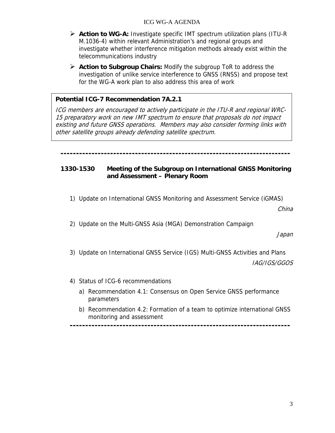#### ICG WG-A AGENDA

- **Action to WG-A:** Investigate specific IMT spectrum utilization plans (ITU-R M.1036-4) within relevant Administration's and regional groups and investigate whether interference mitigation methods already exist within the telecommunications industry
- **Action to Subgroup Chairs:** Modify the subgroup ToR to address the investigation of unlike service interference to GNSS (RNSS) and propose text for the WG-A work plan to also address this area of work

### **Potential ICG-7 Recommendation 7A.2.1**

ICG members are encouraged to actively participate in the ITU-R and regional WRC-15 preparatory work on new IMT spectrum to ensure that proposals do not impact existing and future GNSS operations. Members may also consider forming links with other satellite groups already defending satellite spectrum.

#### **--------------------------------------------------------------------------**

#### **1330-1530 Meeting of the Subgroup on International GNSS Monitoring and Assessment – Plenary Room**

1) Update on International GNSS Monitoring and Assessment Service (iGMAS)

China

2) Update on the Multi-GNSS Asia (MGA) Demonstration Campaign

Japan

3) Update on International GNSS Service (IGS) Multi-GNSS Activities and Plans

IAG/IGS/GGOS

- 4) Status of ICG-6 recommendations
	- a) Recommendation 4.1: Consensus on Open Service GNSS performance parameters
	- b) Recommendation 4.2: Formation of a team to optimize international GNSS monitoring and assessment

**-----------------------------------------------------------------------**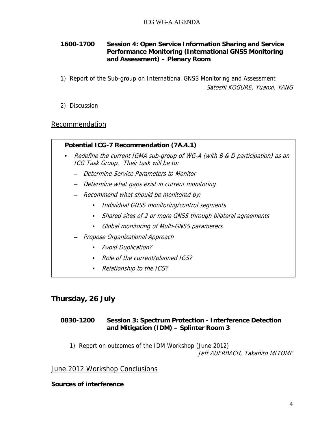### **1600-1700 Session 4: Open Service Information Sharing and Service Performance Monitoring (International GNSS Monitoring and Assessment) – Plenary Room**

1) Report of the Sub-group on International GNSS Monitoring and Assessment Satoshi KOGURE, Yuanxi, YANG

2) Discussion

## Recommendation

### **Potential ICG-7 Recommendation (7A.4.1)**

- Redefine the current IGMA sub-group of WG-A (with B & D participation) as an ICG Task Group. Their task will be to:
	- Determine Service Parameters to Monitor
	- Determine what gaps exist in current monitoring
	- Recommend what should be monitored by:
		- Individual GNSS monitoring/control segments
		- Shared sites of 2 or more GNSS through bilateral agreements
		- Global monitoring of Multi-GNSS parameters
	- Propose Organizational Approach
		- Avoid Duplication?
		- Role of the current/planned IGS?
		- Relationship to the ICG?

## **Thursday, 26 July**

### **0830-1200 Session 3: Spectrum Protection - Interference Detection and Mitigation (IDM) – Splinter Room 3**

1) Report on outcomes of the IDM Workshop (June 2012) Jeff AUERBACH, Takahiro MITOME

### June 2012 Workshop Conclusions

### **Sources of interference**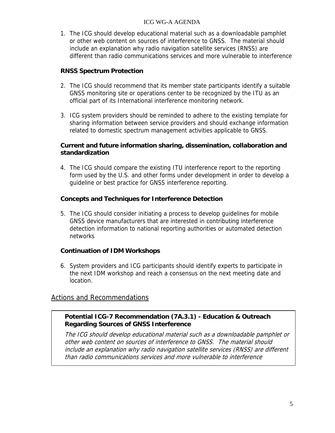#### ICG WG-A AGENDA

1. The ICG should develop educational material such as a downloadable pamphlet or other web content on sources of interference to GNSS. The material should include an explanation why radio navigation satellite services (RNSS) are different than radio communications services and more vulnerable to interference

### **RNSS Spectrum Protection**

- 2. The ICG should recommend that its member state participants identify a suitable GNSS monitoring site or operations center to be recognized by the ITU as an official part of its International interference monitoring network.
- 3. ICG system providers should be reminded to adhere to the existing template for sharing information between service providers and should exchange information related to domestic spectrum management activities applicable to GNSS.

### **Current and future information sharing, dissemination, collaboration and standardization**

4. The ICG should compare the existing ITU interference report to the reporting form used by the U.S. and other forms under development in order to develop a guideline or best practice for GNSS interference reporting.

### **Concepts and Techniques for Interference Detection**

5. The ICG should consider initiating a process to develop guidelines for mobile GNSS device manufacturers that are interested in contributing interference detection information to national reporting authorities or automated detection networks

### **Continuation of IDM Workshops**

6. System providers and ICG participants should identify experts to participate in the next IDM workshop and reach a consensus on the next meeting date and location.

## Actions and Recommendations

### **Potential ICG-7 Recommendation (7A.3.1) - Education & Outreach Regarding Sources of GNSS Interference**

The ICG should develop educational material such as a downloadable pamphlet or other web content on sources of interference to GNSS. The material should include an explanation why radio navigation satellite services (RNSS) are different than radio communications services and more vulnerable to interference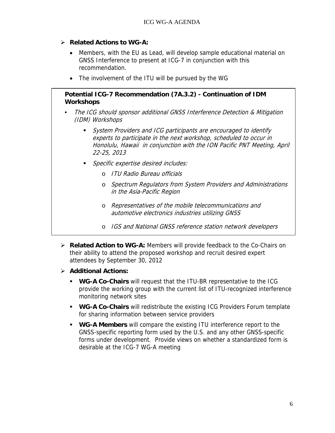- **Related Actions to WG-A:** 
	- Members, with the EU as Lead, will develop sample educational material on GNSS Interference to present at ICG-7 in conjunction with this recommendation.
	- The involvement of the ITU will be pursued by the WG

### **Potential ICG-7 Recommendation (7A.3.2) - Continuation of IDM Workshops**

- The ICG should sponsor additional GNSS Interference Detection & Mitigation (IDM) Workshops
	- System Providers and ICG participants are encouraged to identify experts to participate in the next workshop, scheduled to occur in Honolulu, Hawaii in conjunction with the ION Pacific PNT Meeting, April 22-25, 2013
	- Specific expertise desired includes:
		- o ITU Radio Bureau officials
		- o Spectrum Regulators from System Providers and Administrations in the Asia-Pacific Region
		- o Representatives of the mobile telecommunications and automotive electronics industries utilizing GNSS
		- o IGS and National GNSS reference station network developers
- **Related Action to WG-A:** Members will provide feedback to the Co-Chairs on their ability to attend the proposed workshop and recruit desired expert attendees by September 30, 2012
- **Additional Actions:**
	- **WG-A Co-Chairs** will request that the ITU-BR representative to the ICG provide the working group with the current list of ITU-recognized interference monitoring network sites
	- **WG-A Co-Chairs** will redistribute the existing ICG Providers Forum template for sharing information between service providers
	- **WG-A Members** will compare the existing ITU interference report to the GNSS-specific reporting form used by the U.S. and any other GNSS-specific forms under development. Provide views on whether a standardized form is desirable at the ICG-7 WG-A meeting